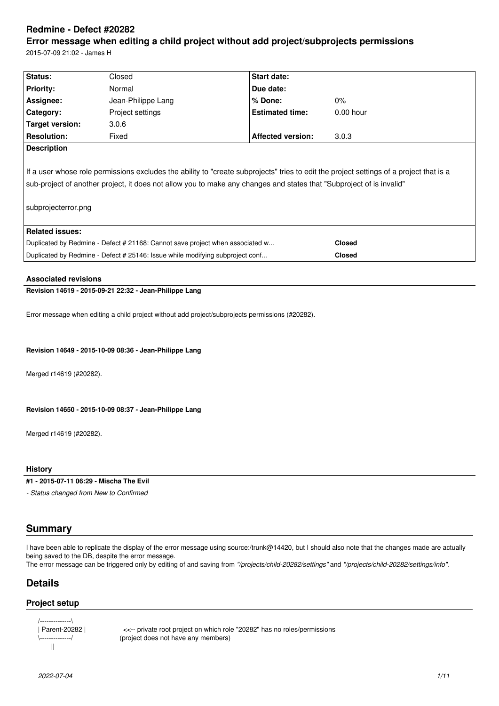# **Redmine - Defect #20282**

# **Error message when editing a child project without add project/subprojects permissions** 2015-07-09 21:02 - James H

**Status:** Closed **Start date: Priority:** Normal **Due date: Assignee:** Jean-Philippe Lang **% Done:** 0% **Category:** Project settings **Estimated time:** 0.00 hour **Target version:** 3.0.6 **Resolution:** Fixed **Affected version:** 3.0.3 **Description** If a user whose role permissions excludes the ability to "create subprojects" tries to edit the project settings of a project that is a sub-project of another project, it does not allow you to make any changes and states that "Subproject of is invalid" subprojecterror.png **Related issues:** Duplicated by Redmine - Defect # 21168: Cannot save project when associated w... **Closed** Duplicated by Redmine - Defect # 25146: Issue while modifying subproject conf... **Closed**

# **Associated revisions**

**Revision 14619 - 2015-09-21 22:32 - Jean-Philippe Lang**

Error message when editing a child project without add project/subprojects permissions (#20282).

#### **Revision 14649 - 2015-10-09 08:36 - Jean-Philippe Lang**

Merged r14619 (#20282).

**Revision 14650 - 2015-10-09 08:37 - Jean-Philippe Lang**

Merged r14619 (#20282).

#### **History**

**#1 - 2015-07-11 06:29 - Mischa The Evil**

*- Status changed from New to Confirmed*

# **Summary**

I have been able to replicate the display of the error message using source:/trunk@14420, but I should also note that the changes made are actually being saved to the DB, despite the error message.

The error message can be triggered only by editing of and saving from *"/projects/child-20282/settings"* and *"/projects/child-20282/settings/info"*.

# **Details**

# **Project setup**

/--------------\ ||

| Parent-20282 | <<-- private root project on which role "20282" has no roles/permissions<br>\-------------/ (project does not have any members) (project does not have any members)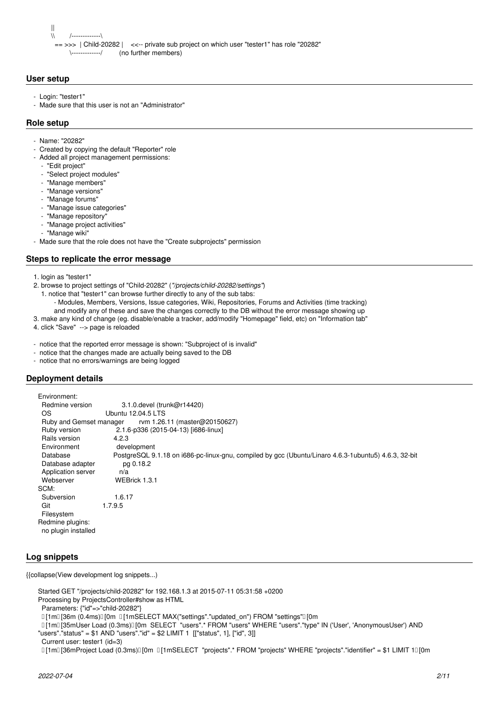|| \\ /-------------\ == >>> | Child-20282 | <<-- private sub project on which user "tester1" has role "20282" \-------------/ (no further members)

# **User setup**

- Login: "tester1"
- Made sure that this user is not an "Administrator"

#### **Role setup**

- Name: "20282"
- Created by copying the default "Reporter" role
- Added all project management permissions:
- "Edit project"
- "Select project modules"
- "Manage members"
- "Manage versions"
- "Manage forums"
- "Manage issue categories"
- "Manage repository"
- "Manage project activities"
- "Manage wiki"
- Made sure that the role does not have the "Create subprojects" permission

#### **Steps to replicate the error message**

- 1. login as "tester1"
- 2. browse to project settings of "Child-20282" (*"/projects/child-20282/settings"*)
	- 1. notice that "tester1" can browse further directly to any of the sub tabs:
	- Modules, Members, Versions, Issue categories, Wiki, Repositories, Forums and Activities (time tracking)
	- and modify any of these and save the changes correctly to the DB without the error message showing up
- 3. make any kind of change (eg. disable/enable a tracker, add/modify "Homepage" field, etc) on "Information tab"
- 4. click "Save" --> page is reloaded
- notice that the reported error message is shown: "Subproject of is invalid"
- notice that the changes made are actually being saved to the DB
- notice that no errors/warnings are being logged

# **Deployment details**

| Environment:                                             |                                                                                                      |
|----------------------------------------------------------|------------------------------------------------------------------------------------------------------|
| Redmine version                                          | 3.1.0. devel (trunk@r14420)                                                                          |
| OS.                                                      | Ubuntu 12.04.5 LTS                                                                                   |
| Ruby and Gemset manager<br>rvm 1.26.11 (master@20150627) |                                                                                                      |
| Ruby version                                             | 2.1.6-p336 (2015-04-13) [i686-linux]                                                                 |
| Rails version                                            | 4.2.3                                                                                                |
| Environment                                              | development                                                                                          |
| Database                                                 | PostgreSQL 9.1.18 on i686-pc-linux-gnu, compiled by gcc (Ubuntu/Linaro 4.6.3-1ubuntu5) 4.6.3, 32-bit |
| Database adapter                                         | pg 0.18.2                                                                                            |
| Application server                                       | n/a                                                                                                  |
| Webserver                                                | WEBrick 1.3.1                                                                                        |
| SCM:                                                     |                                                                                                      |
| Subversion                                               | 1.6.17                                                                                               |
| Git                                                      | 1.7.9.5                                                                                              |
| Filesystem                                               |                                                                                                      |
| Redmine plugins:                                         |                                                                                                      |
| no plugin installed                                      |                                                                                                      |
|                                                          |                                                                                                      |

#### **Log snippets**

{{collapse(View development log snippets...)

Started GET "/projects/child-20282" for 192.168.1.3 at 2015-07-11 05:31:58 +0200

Processing by ProjectsController#show as HTML

Parameters: {"id"=>"child-20282"}

- [1m] [36m (0.4ms)][0m ][1mSELECT MAX("settings"."updated\_on") FROM "settings"][0m
- [1m[35mUser Load (0.3ms)[0m SELECT "users".\* FROM "users" WHERE "users"."type" IN ('User', 'AnonymousUser') AND
- "users"."status" = \$1 AND "users"."id" = \$2 LIMIT 1 [["status", 1], ["id", 3]]

[1m][36mProject Load (0.3ms)][0m [1mSELECT "projects".\* FROM "projects" WHERE "projects"."identifier" = \$1 LIMIT 1[1][0m

Current user: tester1 (id=3)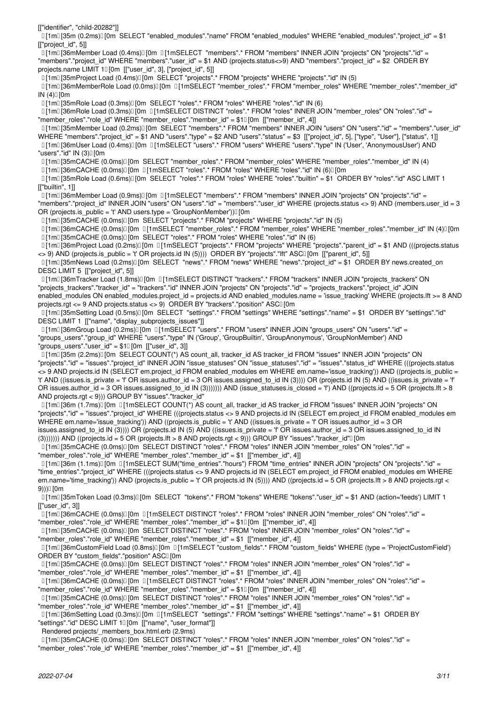[["identifier", "child-20282"]]

[1] [35m (0.2ms)[J] [0m SELECT "enabled\_modules"."name" FROM "enabled\_modules" WHERE "enabled\_modules"."project\_id" = \$1 [["project\_id", 5]]

 [1m[36mMember Load (0.4ms)[0m [1mSELECT "members".\* FROM "members" INNER JOIN "projects" ON "projects"."id" = "members"."project\_id" WHERE "members"."user\_id" = \$1 AND (projects.status<>9) AND "members"."project\_id" = \$2 ORDER BY projects.name LIMIT 10 [0m [["user\_id", 3], ["project\_id", 5]]

[1m[35mProject Load (0.4ms)[0m SELECT "projects".\* FROM "projects" WHERE "projects"."id" IN (5)

 [1m[36mMemberRole Load (0.0ms)[0m [1mSELECT "member\_roles".\* FROM "member\_roles" WHERE "member\_roles"."member\_id"  $IN(4)$ [0m

[1m] [35mRole Load (0.3ms)][0m SELECT "roles".\* FROM "roles" WHERE "roles"."id" IN (6)

 [1m[36mRole Load (0.3ms)[0m [1mSELECT DISTINCT "roles".\* FROM "roles" INNER JOIN "member\_roles" ON "roles"."id" = "member\_roles"."role\_id" WHERE "member\_roles"."member\_id" = \$10[0m [["member\_id", 4]]

 [1m[35mMember Load (0.2ms)[0m SELECT "members".\* FROM "members" INNER JOIN "users" ON "users"."id" = "members"."user\_id" WHERE "members"."project\_id" = \$1 AND "users"."type" = \$2 AND "users"."status" = \$3 [["project\_id", 5], ["type", "User"], ["status", 1]] [1m[36mUser Load (0.4ms)[0m [1mSELECT "users".\* FROM "users" WHERE "users"."type" IN ('User', 'AnonymousUser') AND

"users"." $id$ " IN  $(3)$ [ $0m$ ] [1m] [35mCACHE (0.0ms)] [0m SELECT "member\_roles".\* FROM "member\_roles" WHERE "member\_roles"."member\_id" IN (4)

 $\overline{0}$ [1m $\overline{1}$ [36mCACHE (0.0ms) $\overline{0}$ [0m  $\overline{0}$ [1mSELECT "roles".\* FROM "roles" WHERE "roles"."id" IN (6) $\overline{0}$ [0m

 [1m[35mRole Load (0.6ms)[0m SELECT "roles".\* FROM "roles" WHERE "roles"."builtin" = \$1 ORDER BY "roles"."id" ASC LIMIT 1 [["builtin", 1]]

[1m[36mMember Load (0.9ms)[0m [1mSELECT "members".\* FROM "members" INNER JOIN "projects" ON "projects"."id" =

"members"."project\_id" INNER JOIN "users" ON "users"."id" = "members"."user\_id" WHERE (projects.status <> 9) AND (members.user\_id = 3 OR (projects.is\_public = 't' AND users.type = 'GroupNonMember')) $[$  [0m

[1m] 35mCACHE (0.0ms) [0m SELECT "projects".\* FROM "projects" WHERE "projects"."id" IN (5)

[1m] 36mCACHE (0.0ms) [0m [1mSELECT "member roles".\* FROM "member roles" WHERE "member roles"."member id" IN (4)[10m [1m[35mCACHE (0.0ms)[0m SELECT "roles".\* FROM "roles" WHERE "roles"."id" IN (6)

 [1m[36mProject Load (0.2ms)[0m [1mSELECT "projects".\* FROM "projects" WHERE "projects"."parent\_id" = \$1 AND (((projects.status <> 9) AND (projects.is\_public = 't' OR projects.id IN (5)))) ORDER BY "projects"."lft" ASC[[0m [["parent\_id", 5]]

 [1m[35mNews Load (0.2ms)[0m SELECT "news".\* FROM "news" WHERE "news"."project\_id" = \$1 ORDER BY news.created\_on DESC LIMIT 5 [["project\_id", 5]]

 [1m[36mTracker Load (1.8ms)[0m [1mSELECT DISTINCT "trackers".\* FROM "trackers" INNER JOIN "projects\_trackers" ON "projects\_trackers"."tracker\_id" = "trackers"."id" INNER JOIN "projects" ON "projects"."id" = "projects\_trackers"."project\_id" JOIN enabled\_modules ON enabled\_modules.project\_id = projects.id AND enabled\_modules.name = 'issue\_tracking' WHERE (projects.lft >= 8 AND projects.rgt <= 9 AND projects.status <> 9) ORDER BY "trackers"."position" ASCI [0m

 [1m[35mSetting Load (0.5ms)[0m SELECT "settings".\* FROM "settings" WHERE "settings"."name" = \$1 ORDER BY "settings"."id" DESC LIMIT 1 [["name", "display\_subprojects\_issues"]]

[1m] [36mGroup Load (0.2ms)] [0m [11mSELECT "users".\* FROM "users" INNER JOIN "groups users" ON "users"."id" = "groups\_users"."group\_id" WHERE "users"."type" IN ('Group', 'GroupBuiltin', 'GroupAnonymous', 'GroupNonMember') AND "groups\_users"."user\_id" =  $$10[0m [$ "user\_id", 3]]

 [1m[35m (2.2ms)[0m SELECT COUNT(\*) AS count\_all, tracker\_id AS tracker\_id FROM "issues" INNER JOIN "projects" ON "projects"."id" = "issues"."project\_id" INNER JOIN "issue\_statuses" ON "issue\_statuses"."id" = "issues"."status\_id" WHERE (((projects.status <> 9 AND projects.id IN (SELECT em.project\_id FROM enabled\_modules em WHERE em.name='issue\_tracking')) AND ((projects.is\_public = 't' AND ((issues.is\_private = 'f' OR issues.author\_id = 3 OR issues.assigned\_to\_id IN (3)))) OR (projects.id IN (5) AND ((issues.is\_private = 'f' OR issues.author  $id = 3$  OR issues.assigned to  $id IN (3))$ )))) AND (issue statuses.is closed = 'f') AND ((projects.id = 5 OR (projects.lft > 8 AND projects.rgt < 9))) GROUP BY "issues"."tracker\_id"

[1m] [36m (1.7ms)] [0m [1mSELECT COUNT(\*) AS count all, tracker id AS tracker id FROM "issues" INNER JOIN "projects" ON "projects"."id" = "issues"."project\_id" WHERE (((projects.status <> 9 AND projects.id IN (SELECT em.project\_id FROM enabled\_modules em WHERE em.name='issue\_tracking')) AND ((projects.is\_public = 't' AND ((issues.is\_private = 'f' OR issues.author\_id = 3 OR issues.assigned\_to\_id IN (3)))) OR (projects.id IN (5) AND ((issues.is\_private = 'f' OR issues.author\_id = 3 OR issues.assigned\_to\_id IN (3))))))) AND ((projects.id = 5 OR (projects.lft > 8 AND projects.rgt < 9))) GROUP BY "issues"."tracker\_id"[] [0m

 [1m[35mCACHE (0.0ms)[0m SELECT DISTINCT "roles".\* FROM "roles" INNER JOIN "member\_roles" ON "roles"."id" = "member\_roles"."role\_id" WHERE "member\_roles"."member\_id" = \$1 [["member\_id", 4]]

 $\Box$ [1m $\Box$ [36m (1.1ms) $\Box$ [0m  $\Box$ [1mSELECT SUM("time\_entries"."hours") FROM "time\_entries" INNER JOIN "projects" ON "projects"."id" = "time\_entries"."project\_id" WHERE (((projects.status <> 9 AND projects.id IN (SELECT em.project\_id FROM enabled\_modules em WHERE em.name='time\_tracking')) AND (projects.is\_public = 't' OR projects.id IN (5)))) AND ((projects.id = 5 OR (projects.lft > 8 AND projects.rgt < 9)))[[0m

[1m] [35mToken Load (0.3ms)] [0m SELECT "tokens".\* FROM "tokens" WHERE "tokens"."user id" = \$1 AND (action='feeds') LIMIT 1 [["user\_id", 3]]

.<br>□ [1m□ [36mCACHE (0.0ms)□ [0m □ [1mSELECT DISTINCT "roles".\* FROM "roles" INNER JOIN "member\_roles" ON "roles"."id" =

"member roles"."role id" WHERE "member roles"."member id" = \$10[0m [["member id", 4]]

[1m][35mCACHE (0.0ms)[][0m SELECT DISTINCT "roles".\* FROM "roles" INNER JOIN "member\_roles" ON "roles"."id" =

"member\_roles"."role\_id" WHERE "member\_roles"."member\_id" = \$1 [["member\_id", 4]]

 [1m[36mCustomField Load (0.8ms)[0m [1mSELECT "custom\_fields".\* FROM "custom\_fields" WHERE (type = 'ProjectCustomField') ORDER BY "custom\_fields"."position" ASCI [0m

[1m][35mCACHE (0.0ms)][0m SELECT DISTINCT "roles".\* FROM "roles" INNER JOIN "member\_roles" ON "roles"."id" =

"member\_roles"."role\_id" WHERE "member\_roles"."member\_id" = \$1 [["member\_id", 4]]

[1m[36mCACHE (0.0ms)[0m [1mSELECT DISTINCT "roles".\* FROM "roles" INNER JOIN "member\_roles" ON "roles"."id" =

"member\_roles"."role\_id" WHERE "member\_roles"."member\_id" = \$10 [0m [["member\_id", 4]] [1m[35mCACHE (0.0ms)[0m SELECT DISTINCT "roles".\* FROM "roles" INNER JOIN "member\_roles" ON "roles"."id" =

"member\_roles"."role\_id" WHERE "member\_roles"."member\_id" = \$1 [["member\_id", 4]]

 [1m[36mSetting Load (0.3ms)[0m [1mSELECT "settings".\* FROM "settings" WHERE "settings"."name" = \$1 ORDER BY "settings"."id" DESC LIMIT 10 [0m [["name", "user\_format"]]

Rendered projects/ members\_box.html.erb (2.9ms)

 [1m[35mCACHE (0.0ms)[0m SELECT DISTINCT "roles".\* FROM "roles" INNER JOIN "member\_roles" ON "roles"."id" = "member\_roles"."role\_id" WHERE "member\_roles"."member\_id" = \$1 [["member\_id", 4]]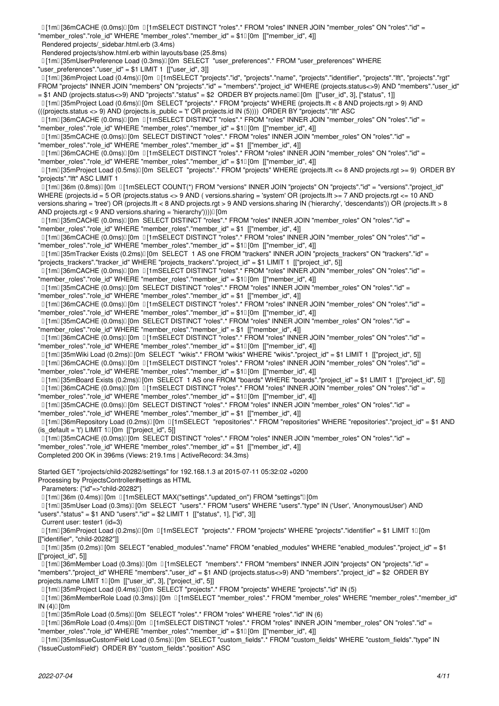[1m[36mCACHE (0.0ms)[0m [1mSELECT DISTINCT "roles".\* FROM "roles" INNER JOIN "member\_roles" ON "roles"."id" =

"member\_roles"."role\_id" WHERE "member\_roles"."member\_id" = \$10 [0m [["member\_id", 4]]

Rendered projects/\_sidebar.html.erb (3.4ms)

Rendered projects/show.html.erb within layouts/base (25.8ms)

[1m] [35mUserPreference Load (0.3ms)] [0m SELECT "user\_preferences".\* FROM "user\_preferences" WHERE "user\_preferences"."user\_id" = \$1 LIMIT 1  $[["user_id", 3]]$ 

 $I$ [1m $I$ [36mProject Load (0.4ms) $I$ [0m  $I$ [1mSELECT "projects"."id", "projects"."name", "projects"."identifier", "projects"."lft", "projects"."rgt" FROM "projects" INNER JOIN "members" ON "projects"."id" = "members"."project\_id" WHERE (projects.status<>9) AND "members"."user\_id"

= \$1 AND (projects.status<>9) AND "projects"."status" = \$2 ORDER BY projects.name[[0m [["user\_id", 3], ["status", 1]] [1m[35mProject Load (0.6ms)[0m SELECT "projects".\* FROM "projects" WHERE (projects.lft < 8 AND projects.rgt > 9) AND

(((projects.status <> 9) AND (projects.is\_public = 't' OR projects.id IN (5)))) ORDER BY "projects"."lft" ASC

[1m[36mCACHE (0.0ms)[0m [1mSELECT DISTINCT "roles".\* FROM "roles" INNER JOIN "member\_roles" ON "roles"."id" =

"member\_roles"."role\_id" WHERE "member\_roles"."member\_id" = \$10[0m [["member\_id", 4]]

[1m][35mCACHE (0.0ms)][0m SELECT DISTINCT "roles".\* FROM "roles" INNER JOIN "member\_roles" ON "roles"."id" = "member\_roles"."role\_id" WHERE "member\_roles"."member\_id" = \$1 [["member\_id", 4]]

[1m][36mCACHE (0.0ms)][0m [1mSELECT DISTINCT "roles".\* FROM "roles" INNER JOIN "member roles" ON "roles"."id" = "member\_roles"."role\_id" WHERE "member\_roles"."member\_id" = \$10 [0m [["member\_id", 4]]

 [1m[35mProject Load (0.5ms)[0m SELECT "projects".\* FROM "projects" WHERE (projects.lft <= 8 AND projects.rgt >= 9) ORDER BY "projects"."lft" ASC LIMIT 1

 [1m[36m (0.8ms)[0m [1mSELECT COUNT(\*) FROM "versions" INNER JOIN "projects" ON "projects"."id" = "versions"."project\_id" WHERE (projects.id = 5 OR (projects.status <> 9 AND (versions.sharing = 'system' OR (projects.lft >= 7 AND projects.rgt <= 10 AND versions.sharing = 'tree') OR (projects.lft < 8 AND projects.rgt > 9 AND versions.sharing IN ('hierarchy', 'descendants')) OR (projects.lft > 8

AND projects.rgt < 9 AND versions.sharing = 'hierarchy'))))[0m [1m][35mCACHE (0.0ms)][0m SELECT DISTINCT "roles".\* FROM "roles" INNER JOIN "member roles" ON "roles"."id" =

"member\_roles"."role\_id" WHERE "member\_roles"."member\_id" = \$1 [["member\_id", 4]]

 [1m[36mCACHE (0.0ms)[0m [1mSELECT DISTINCT "roles".\* FROM "roles" INNER JOIN "member\_roles" ON "roles"."id" = "member\_roles"."role\_id" WHERE "member\_roles"."member\_id" = \$10 [0m [["member\_id", 4]]

[1m] [35mTracker Exists (0.2ms)] [0m SELECT 1 AS one FROM "trackers" INNER JOIN "projects trackers" ON "trackers"."id" = "projects\_trackers"."tracker\_id" WHERE "projects\_trackers"."project\_id" = \$1 LIMIT 1 [["project\_id", 5]]

 [1m[36mCACHE (0.0ms)[0m [1mSELECT DISTINCT "roles".\* FROM "roles" INNER JOIN "member\_roles" ON "roles"."id" = "member\_roles"."role\_id" WHERE "member\_roles"."member\_id" = \$10 [0m [["member\_id", 4]]

[1m[35mCACHE (0.0ms)[0m SELECT DISTINCT "roles".\* FROM "roles" INNER JOIN "member\_roles" ON "roles"."id" =

"member\_roles"."role\_id" WHERE "member\_roles"."member\_id" = \$1 [["member\_id", 4]]

 [1m[36mCACHE (0.0ms)[0m [1mSELECT DISTINCT "roles".\* FROM "roles" INNER JOIN "member\_roles" ON "roles"."id" = "member\_roles"."role\_id" WHERE "member\_roles"."member\_id" = \$10 [0m [["member\_id", 4]]

[1m][35mCACHE (0.0ms)][0m SELECT DISTINCT "roles".\* FROM "roles" INNER JOIN "member\_roles" ON "roles"."id" =

"member\_roles"."role\_id" WHERE "member\_roles"."member\_id" = \$1 [["member\_id", 4]]

 [1m[36mCACHE (0.0ms)[0m [1mSELECT DISTINCT "roles".\* FROM "roles" INNER JOIN "member\_roles" ON "roles"."id" = "member\_roles"."role\_id" WHERE "member\_roles"."member\_id" = \$1<sup>[10]</sup> [["member\_id", 4]]

[1m[35mWiki Load (0.2ms)[0m SELECT "wikis".\* FROM "wikis" WHERE "wikis"."project\_id" = \$1 LIMIT 1 [["project\_id", 5]]

[1m[36mCACHE (0.0ms)[0m [1mSELECT DISTINCT "roles".\* FROM "roles" INNER JOIN "member\_roles" ON "roles"."id" =

"member\_roles"."role\_id" WHERE "member\_roles"."member\_id" = \$10[0m [["member\_id", 4]]

[1m[35mBoard Exists (0.2ms)[0m SELECT 1 AS one FROM "boards" WHERE "boards"."project\_id" = \$1 LIMIT 1 [["project\_id", 5]]

[1m[36mCACHE (0.0ms)[0m [1mSELECT DISTINCT "roles".\* FROM "roles" INNER JOIN "member\_roles" ON "roles"."id" =

"member\_roles"."role\_id" WHERE "member\_roles"."member\_id" = \$10[0m [["member\_id", 4]]

[1m][35mCACHE (0.0ms)][0m SELECT DISTINCT "roles".\* FROM "roles" INNER JOIN "member\_roles" ON "roles"."id" =

"member\_roles"."role\_id" WHERE "member\_roles"."member\_id" = \$1 [["member\_id", 4]]

 [1m[36mRepository Load (0.2ms)[0m [1mSELECT "repositories".\* FROM "repositories" WHERE "repositories"."project\_id" = \$1 AND (is\_default = 't') LIMIT  $10$  [0m [["project\_id", 5]]

[1m[35mCACHE (0.0ms)[0m SELECT DISTINCT "roles".\* FROM "roles" INNER JOIN "member\_roles" ON "roles"."id" =

"member roles"."role\_id" WHERE "member roles"."member\_id" = \$1 [["member\_id", 4]]

Completed 200 OK in 396ms (Views: 219.1ms | ActiveRecord: 34.3ms)

Started GET "/projects/child-20282/settings" for 192.168.1.3 at 2015-07-11 05:32:02 +0200

Processing by ProjectsController#settings as HTML

Parameters: {"id"=>"child-20282"}

[1m[36m (0.4ms)[0m [1mSELECT MAX("settings"."updated\_on") FROM "settings"[0m

 [1m[35mUser Load (0.3ms)[0m SELECT "users".\* FROM "users" WHERE "users"."type" IN ('User', 'AnonymousUser') AND "users"."status" = \$1 AND "users"."id" = \$2 LIMIT 1 [["status", 1], ["id", 3]]

Current user: tester1 (id=3)

[1m] [36mProject Load (0.2ms)] [0m [1mSELECT "projects".\* FROM "projects" WHERE "projects"."identifier" = \$1 LIMIT 1[] [0m [["identifier", "child-20282"]]

 [1m[35m (0.2ms)[0m SELECT "enabled\_modules"."name" FROM "enabled\_modules" WHERE "enabled\_modules"."project\_id" = \$1 [["project\_id", 5]]

 [1m[36mMember Load (0.3ms)[0m [1mSELECT "members".\* FROM "members" INNER JOIN "projects" ON "projects"."id" = "members"."project\_id" WHERE "members"."user\_id" = \$1 AND (projects.status<>9) AND "members"."project\_id" = \$2 ORDER BY projects.name LIMIT 10 [0m [["user\_id", 3], ["project\_id", 5]]

[1m[35mProject Load (0.4ms)[0m SELECT "projects".\* FROM "projects" WHERE "projects"."id" IN (5)

[1m] [36mMemberRole Load (0.3ms)] [0m [1mSELECT "member roles".\* FROM "member roles" WHERE "member roles"."member id"  $IN(4)\square$ [0m

[1m[35mRole Load (0.5ms)[0m SELECT "roles".\* FROM "roles" WHERE "roles"."id" IN (6)

 [1m[36mRole Load (0.4ms)[0m [1mSELECT DISTINCT "roles".\* FROM "roles" INNER JOIN "member\_roles" ON "roles"."id" = "member\_roles"."role\_id" WHERE "member\_roles"."member\_id" = \$10[0m [["member\_id", 4]]

[1m] [35mIssueCustomField Load (0.5ms)] [0m SELECT "custom\_fields".\* FROM "custom\_fields" WHERE "custom\_fields"."type" IN ('IssueCustomField') ORDER BY "custom\_fields"."position" ASC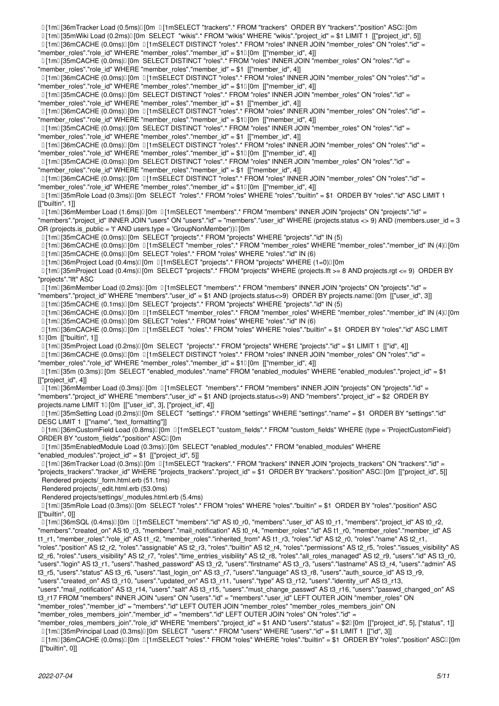[1m] [35mWiki Load (0.2ms) [0m SELECT "wikis".\* FROM "wikis" WHERE "wikis"."project\_id" = \$1 LIMIT 1 [["project\_id", 5]]

[1m][36mCACHE (0.0ms)][0m [1mSELECT DISTINCT "roles".\* FROM "roles" INNER JOIN "member\_roles" ON "roles"."id" = "member\_roles"."role\_id" WHERE "member\_roles"."member\_id" = \$10 [0m [["member\_id", 4]]

 $[1]$ m $[35$ mCACHE (0.0ms) $[$  [0m SELECT DISTINCT "roles".\* FROM "roles" INNER JOIN "member roles" ON "roles"."id" =

"member\_roles"."role\_id" WHERE "member\_roles"."member\_id" = \$1 [["member\_id", 4]]

[1m][36mCACHE (0.0ms)][0m [1mSELECT DISTINCT "roles".\* FROM "roles" INNER JOIN "member roles" ON "roles"."id" =

"member\_roles"."role\_id" WHERE "member\_roles"."member\_id" = \$10 [0m [["member\_id", 4]]

[1m][35mCACHE (0.0ms)][0m SELECT DISTINCT "roles".\* FROM "roles" INNER JOIN "member\_roles" ON "roles"."id" =

"member\_roles"."role\_id" WHERE "member\_roles"."member\_id" = \$1 [["member\_id", 4]]

 [1m[36mCACHE (0.0ms)[0m [1mSELECT DISTINCT "roles".\* FROM "roles" INNER JOIN "member\_roles" ON "roles"."id" = "member\_roles"."role\_id" WHERE "member\_roles"."member\_id" = \$10[0m [["member\_id", 4]]

[1m][35mCACHE (0.0ms)[][0m SELECT DISTINCT "roles".\* FROM "roles" INNER JOIN "member\_roles" ON "roles"."id" =

"member\_roles"."role\_id" WHERE "member\_roles"."member\_id" = \$1 [["member\_id", 4]]

[1m][36mCACHE (0.0ms) [0m [1mSELECT DISTINCT "roles".\* FROM "roles" INNER JOIN "member roles" ON "roles"."id" =

"member\_roles"."role\_id" WHERE "member\_roles"."member\_id" = \$10[0m [["member\_id", 4]]

[1m][35mCACHE (0.0ms)[] [0m SELECT DISTINCT "roles".\* FROM "roles" INNER JOIN "member\_roles" ON "roles"."id" =

"member\_roles"."role\_id" WHERE "member\_roles"."member\_id" = \$1 [["member\_id", 4]]

[1m[36mCACHE (0.0ms)[0m [1mSELECT DISTINCT "roles".\* FROM "roles" INNER JOIN "member\_roles" ON "roles"."id" =

"member\_roles"."role\_id" WHERE "member\_roles"."member\_id" = \$10[0m [["member\_id", 4]]

 [1m[35mRole Load (0.3ms)[0m SELECT "roles".\* FROM "roles" WHERE "roles"."builtin" = \$1 ORDER BY "roles"."id" ASC LIMIT 1 [["builtin", 1]]

.<br>[1] [1m⊡ [36mMember Load (1.6ms)⊡ [0m □ [1mSELECT "members".\* FROM "members" INNER JOIN "projects" ON "projects"."id" =

"members"."project id" INNER JOIN "users" ON "users"."id" = "members"."user id" WHERE (projects.status <> 9) AND (members.user id = 3 OR (projects.is public = 't' AND users.type = 'GroupNonMember')) $[$  [0m

[1m[35mCACHE (0.0ms)[0m SELECT "projects".\* FROM "projects" WHERE "projects"."id" IN (5)

 $11$ m $136$ mCACHE (0.0ms) $1$ [0m  $11$ mSELECT "member\_roles".\* FROM "member\_roles" WHERE "member\_roles"."member\_id" IN (4) $1$ [0m [1m] [35mCACHE (0.0ms)] [0m SELECT "roles".\* FROM "roles" WHERE "roles"."id" IN (6)

[1m[36mProject Load (0.4ms)[0m [1mSELECT "projects".\* FROM "projects" WHERE (1=0)[0m

 [1m[35mProject Load (0.4ms)[0m SELECT "projects".\* FROM "projects" WHERE (projects.lft >= 8 AND projects.rgt <= 9) ORDER BY "projects"."lft" ASC

[1m[36mMember Load (0.2ms)[0m [1mSELECT "members".\* FROM "members" INNER JOIN "projects" ON "projects"."id" =

"members"."project\_id" WHERE "members"."user\_id" = \$1 AND (projects.status<>9) ORDER BY projects.name[0m [["user\_id", 3]]

[1m] [35mCACHE (0.1ms)] [0m SELECT "projects".\* FROM "projects" WHERE "projects"."id" IN (5)

[1m][36mCACHE (0.0ms)[[0m [1][1mSELECT "member\_roles".\* FROM "member\_roles" WHERE "member\_roles"."member\_id" IN (4)[[0m [1m[35mCACHE (0.0ms)[0m SELECT "roles".\* FROM "roles" WHERE "roles"."id" IN (6)

 [1m[36mCACHE (0.0ms)[0m [1mSELECT "roles".\* FROM "roles" WHERE "roles"."builtin" = \$1 ORDER BY "roles"."id" ASC LIMIT 1<sup>[0m</sup> [["builtin", 1]]

[1m[35mProject Load (0.2ms)[0m SELECT "projects".\* FROM "projects" WHERE "projects"."id" = \$1 LIMIT 1 [["id", 4]]

[1m][36mCACHE (0.0ms)][0m ][1mSELECT DISTINCT "roles".\* FROM "roles" INNER JOIN "member roles" ON "roles"."id" =

"member\_roles"."role\_id" WHERE "member\_roles"."member\_id" = \$10[0m [["member\_id", 4]]

 [1m[35m (0.3ms)[0m SELECT "enabled\_modules"."name" FROM "enabled\_modules" WHERE "enabled\_modules"."project\_id" = \$1 [["project\_id", 4]]

 [1m[36mMember Load (0.3ms)[0m [1mSELECT "members".\* FROM "members" INNER JOIN "projects" ON "projects"."id" = "members"."project\_id" WHERE "members"."user\_id" = \$1 AND (projects.status<>9) AND "members"."project\_id" = \$2 ORDER BY projects.name LIMIT 10 [0m [["user\_id", 3], ["project\_id", 4]]

 [1m[35mSetting Load (0.2ms)[0m SELECT "settings".\* FROM "settings" WHERE "settings"."name" = \$1 ORDER BY "settings"."id" DESC LIMIT 1 [["name", "text\_formatting"]]

 [1m[36mCustomField Load (0.8ms)[0m [1mSELECT "custom\_fields".\* FROM "custom\_fields" WHERE (type = 'ProjectCustomField') ORDER BY "custom\_fields"."position" ASCI [0m

[1m] [35mEnabledModule Load (0.3ms)] [0m SELECT "enabled modules".\* FROM "enabled modules" WHERE "enabled\_modules"."project\_id" = \$1 [["project\_id", 5]]

 [1m[36mTracker Load (0.3ms)[0m [1mSELECT "trackers".\* FROM "trackers" INNER JOIN "projects\_trackers" ON "trackers"."id" = "projects\_trackers"."tracker\_id" WHERE "projects\_trackers"."project\_id" = \$1 ORDER BY "trackers"."position" ASC[0m [["project\_id", 5]]

Rendered projects/\_form.html.erb (51.1ms)

Rendered projects/\_edit.html.erb (53.0ms)

Rendered projects/settings/\_modules.html.erb (5.4ms)

 [1m[35mRole Load (0.3ms)[0m SELECT "roles".\* FROM "roles" WHERE "roles"."builtin" = \$1 ORDER BY "roles"."position" ASC [["builtin", 0]]

[1m][36mSQL (0.4ms)][0m [1mSELECT "members"."id" AS t0\_r0, "members"."user\_id" AS t0\_r1, "members"."project\_id" AS t0\_r2, "members"."created\_on" AS t0\_r3, "members"."mail\_notification" AS t0\_r4, "member\_roles"."id" AS t1\_r0, "member\_roles"."member\_id" AS t1\_r1, "member\_roles"."role\_id" AS t1\_r2, "member\_roles"."inherited\_from" AS t1\_r3, "roles"."id" AS t2\_r0, "roles"."name" AS t2\_r1, "roles"."position" AS t2\_r2, "roles"."assignable" AS t2\_r3, "roles"."builtin" AS t2\_r4, "roles"."permissions" AS t2\_r5, "roles"."issues\_visibility" AS t2\_r6, "roles"."users\_visibility" AS t2\_r7, "roles"."time\_entries\_visibility" AS t2\_r8, "roles"."all\_roles\_managed" AS t2\_r9, "users"."id" AS t3\_r0, "users"."login" AS t3\_r1, "users"."hashed\_password" AS t3\_r2, "users"."firstname" AS t3\_r3, "users"."lastname" AS t3\_r4, "users"."admin" AS t3\_r5, "users"."status" AS t3\_r6, "users"."last\_login\_on" AS t3\_r7, "users"."language" AS t3\_r8, "users"."auth\_source\_id" AS t3\_r9,

"users"."created\_on" AS t3\_r10, "users"."updated\_on" AS t3\_r11, "users"."type" AS t3\_r12, "users"."identity\_url" AS t3\_r13,

"users"."mail\_notification" AS t3\_r14, "users"."salt" AS t3\_r15, "users"."must\_change\_passwd" AS t3\_r16, "users"."passwd\_changed\_on" AS t3\_r17 FROM "members" INNER JOIN "users" ON "users"."id" = "members"."user\_id" LEFT OUTER JOIN "member\_roles" ON

"member\_roles"."member\_id" = "members"."id" LEFT OUTER JOIN "member\_roles" "member\_roles\_members\_join" ON

"member\_roles\_members\_join"."member\_id" = "members"."id" LEFT OUTER JOIN "roles" ON "roles"."id" =

"member\_roles\_members\_join"."role\_id" WHERE "members"."project\_id" = \$1 AND "users"."status" = \$2[0m [["project\_id", 5], ["status", 1]]

[1m[35mPrincipal Load (0.3ms)[0m SELECT "users".\* FROM "users" WHERE "users"."id" = \$1 LIMIT 1 [["id", 3]]

[1m] 36mCACHE (0.0ms)[0m [1] 1mSELECT "roles".\* FROM "roles" WHERE "roles"."builtin" = \$1 ORDER BY "roles"."position" ASC[] [0m [["builtin", 0]]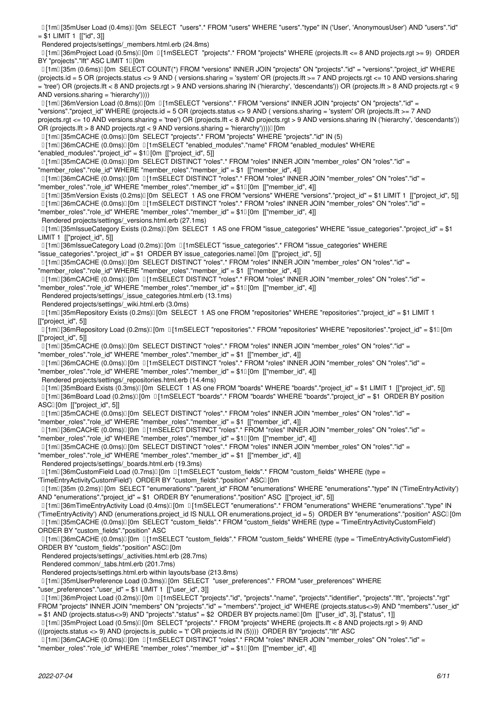[1m[35mUser Load (0.4ms)[0m SELECT "users".\* FROM "users" WHERE "users"."type" IN ('User', 'AnonymousUser') AND "users"."id"  $= $1$  LIMIT 1 [["id", 3]]

Rendered projects/settings/\_members.html.erb (24.8ms)

 [1m[36mProject Load (0.5ms)[0m [1mSELECT "projects".\* FROM "projects" WHERE (projects.lft <= 8 AND projects.rgt >= 9) ORDER BY "projects"."Ift" ASC LIMIT 10 [0m

[1m][35m (0.6ms)][0m SELECT COUNT(\*) FROM "versions" INNER JOIN "projects" ON "projects"."id" = "versions"."project id" WHERE (projects.id = 5 OR (projects.status <> 9 AND ( versions.sharing = 'system' OR (projects.lft >= 7 AND projects.rgt <= 10 AND versions.sharing = 'tree') OR (projects.lft < 8 AND projects.rgt > 9 AND versions.sharing IN ('hierarchy', 'descendants')) OR (projects.lft > 8 AND projects.rgt < 9 AND versions.sharing = 'hierarchy'))))

 [1m[36mVersion Load (0.8ms)[0m [1mSELECT "versions".\* FROM "versions" INNER JOIN "projects" ON "projects"."id" = "versions"."project\_id" WHERE (projects.id = 5 OR (projects.status <> 9 AND ( versions.sharing = 'system' OR (projects.lft >= 7 AND projects.rgt <= 10 AND versions.sharing = 'tree') OR (projects.lft < 8 AND projects.rgt > 9 AND versions.sharing IN ('hierarchy', 'descendants')) OR (projects.lft > 8 AND projects.rgt < 9 AND versions.sharing = 'hierarchy'))))[[0m

[1m[35mCACHE (0.0ms)[0m SELECT "projects".\* FROM "projects" WHERE "projects"."id" IN (5)

[1m[36mCACHE (0.0ms)[0m [1mSELECT "enabled\_modules"."name" FROM "enabled\_modules" WHERE

"enabled modules"."project  $id$ " = \$1 $[0m]$  [["project id", 5]]

[1m][35mCACHE (0.0ms)][0m SELECT DISTINCT "roles".\* FROM "roles" INNER JOIN "member\_roles" ON "roles"."id" =

"member\_roles"."role\_id" WHERE "member\_roles"."member\_id" = \$1 [["member\_id", 4]]

[1m[36mCACHE (0.0ms)[0m [1mSELECT DISTINCT "roles".\* FROM "roles" INNER JOIN "member\_roles" ON "roles"."id" =

"member\_roles"."role\_id" WHERE "member\_roles"."member\_id" = \$10[0m [["member\_id", 4]]

[1m[35mVersion Exists (0.2ms)[10m SELECT 1 AS one FROM "versions" WHERE "versions"."project id" = \$1 LIMIT 1 [["project id", 5]] [1m[36mCACHE (0.0ms)[0m [1mSELECT DISTINCT "roles".\* FROM "roles" INNER JOIN "member\_roles" ON "roles"."id" =

"member\_roles"."role\_id" WHERE "member\_roles"."member\_id" = \$10 [0m [["member\_id", 4]]

Rendered projects/settings/\_versions.html.erb (27.1ms)

[1m] [35mIssueCategory Exists (0.2ms)] [0m SELECT 1 AS one FROM "issue categories" WHERE "issue categories"."project\_id" = \$1 LIMIT 1 [["project\_id", 5]]

[1m[36mIssueCategory Load (0.2ms)[0m [1mSELECT "issue\_categories".\* FROM "issue\_categories" WHERE

"issue categories"."project  $id'' = $1$  ORDER BY issue categories.name $[0m]$  [["project  $id$ ", 5]]

 $11$ m $\overline{1}$ [35mCACHE (0.0ms) $1$ [0m SELECT DISTINCT "roles".\* FROM "roles" INNER JOIN "member\_roles" ON "roles"."id" = "member\_roles"."role\_id" WHERE "member\_roles"."member\_id" = \$1 [["member\_id", 4]]

[1m[36mCACHE (0.0ms)[0m [1mSELECT DISTINCT "roles".\* FROM "roles" INNER JOIN "member\_roles" ON "roles"."id" =

"member\_roles"."role\_id" WHERE "member\_roles"."member\_id" = \$10 [0m [["member\_id", 4]]

Rendered projects/settings/\_issue\_categories.html.erb (13.1ms)

Rendered projects/settings/\_wiki.html.erb (3.0ms)

 [1m[35mRepository Exists (0.2ms)[0m SELECT 1 AS one FROM "repositories" WHERE "repositories"."project\_id" = \$1 LIMIT 1 [["project\_id", 5]]

[1m] [36mRepository Load (0.2ms)] [0m [1mSELECT "repositories".\* FROM "repositories" WHERE "repositories"."project\_id" = \$1[] [0m [["project\_id", 5]]

[1m[35mCACHE (0.0ms)[0m SELECT DISTINCT "roles".\* FROM "roles" INNER JOIN "member\_roles" ON "roles"."id" =

"member\_roles"."role\_id" WHERE "member\_roles"."member\_id" = \$1 [["member\_id", 4]]

[1m[36mCACHE (0.0ms)[0m [1mSELECT DISTINCT "roles".\* FROM "roles" INNER JOIN "member\_roles" ON "roles"."id" =

"member\_roles"."role\_id" WHERE "member\_roles"."member\_id" = \$1<sup>[]</sup>[0m [["member\_id", 4]]

Rendered projects/settings/\_repositories.html.erb (14.4ms)

[1m] [35mBoard Exists (0.3ms)] [0m SELECT 1 AS one FROM "boards" WHERE "boards"."project id" = \$1 LIMIT 1 [["project id", 5]] [1m[36mBoard Load (0.2ms)[0m [1mSELECT "boards".\* FROM "boards" WHERE "boards"."project\_id" = \$1 ORDER BY position ASCI [0m [["project\_id", 5]]

[1m] [35mCACHE (0.0ms)] [0m SELECT DISTINCT "roles".\* FROM "roles" INNER JOIN "member roles" ON "roles"."id" =

"member roles"."role\_id" WHERE "member roles"."member\_id" = \$1 [["member\_id", 4]]

[1m][36mCACHE (0.0ms)][0m [1mSELECT DISTINCT "roles".\* FROM "roles" INNER JOIN "member roles" ON "roles"."id" =

"member\_roles"."role\_id" WHERE "member\_roles"."member\_id" = \$10[0m [["member\_id", 4]]

[1m][35mCACHE (0.0ms)][0m SELECT DISTINCT "roles".\* FROM "roles" INNER JOIN "member roles" ON "roles"."id" =

"member\_roles"."role\_id" WHERE "member\_roles"."member\_id" = \$1 [["member\_id", 4]]

Rendered projects/settings/\_boards.html.erb (19.3ms)

[1m[36mCustomField Load (0.7ms)[0m [1mSELECT "custom\_fields".\* FROM "custom\_fields" WHERE (type =

'TimeEntryActivityCustomField') ORDER BY "custom\_fields"."position" ASCI [0m

 [1m[35m (0.2ms)[0m SELECT "enumerations"."parent\_id" FROM "enumerations" WHERE "enumerations"."type" IN ('TimeEntryActivity') AND "enumerations"."project\_id" = \$1 ORDER BY "enumerations"."position" ASC [["project\_id", 5]]

 [1m[36mTimeEntryActivity Load (0.4ms)[0m [1mSELECT "enumerations".\* FROM "enumerations" WHERE "enumerations"."type" IN ('TimeEntryActivity') AND (enumerations.project\_id IS NULL OR enumerations.project\_id = 5) ORDER BY "enumerations"."position" ASC[10m [1m] [35mCACHE (0.0ms)] [0m SELECT "custom fields".\* FROM "custom fields" WHERE (type = 'TimeEntryActivityCustomField') ORDER BY "custom\_fields"."position" ASC

 [1m[36mCACHE (0.0ms)[0m [1mSELECT "custom\_fields".\* FROM "custom\_fields" WHERE (type = 'TimeEntryActivityCustomField') ORDER BY "custom\_fields"."position" ASCI [0m

Rendered projects/settings/\_activities.html.erb (28.7ms)

Rendered common/\_tabs.html.erb (201.7ms)

Rendered projects/settings.html.erb within layouts/base (213.8ms)

[1m] [35mUserPreference Load (0.3ms) [0m SELECT "user\_preferences".\* FROM "user\_preferences" WHERE

"user\_preferences"."user\_id" = \$1 LIMIT 1 [["user\_id", 3]]

[1m[36mProject Load (0.2ms)[0m [1mSELECT "projects"."id", "projects"."name", "projects"."identifier", "projects"."lft", "projects"."rgt"

FROM "projects" INNER JOIN "members" ON "projects"."id" = "members"."project\_id" WHERE (projects.status<>9) AND "members"."user\_id" = \$1 AND (projects.status<>9) AND "projects"."status" = \$2 ORDER BY projects.name[0m [["user\_id", 3], ["status", 1]]

 [1m[35mProject Load (0.5ms)[0m SELECT "projects".\* FROM "projects" WHERE (projects.lft < 8 AND projects.rgt > 9) AND (((projects.status <> 9) AND (projects.is\_public = 't' OR projects.id IN (5)))) ORDER BY "projects"."lft" ASC

 $[1]$ m $[36$ mCACHE (0.0ms) $[1]$  [0m  $[1]$ 1mSELECT DISTINCT "roles".\* FROM "roles" INNER JOIN "member roles" ON "roles"."id" =

"member\_roles"."role\_id" WHERE "member\_roles"."member\_id" = \$10 [0m [["member\_id", 4]]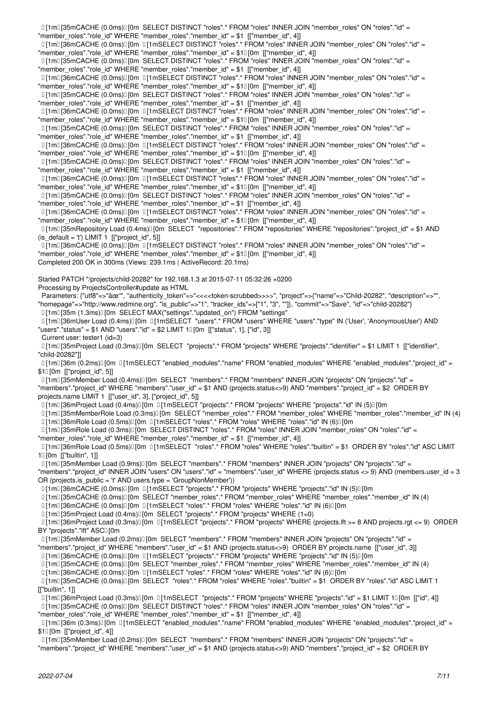"member\_roles"."role\_id" WHERE "member\_roles"."member\_id" = \$1 [["member\_id", 4]] [1ml][36mCACHE (0.0ms) [0m [1mSELECT DISTINCT "roles".\* FROM "roles" INNER JOIN "member roles" ON "roles"."id" = "member\_roles"."role\_id" WHERE "member\_roles"."member\_id" = \$10 [0m [["member\_id", 4]]  $[1]$ m $[35$ mCACHE (0.0ms) $[$  [0m SELECT DISTINCT "roles".\* FROM "roles" INNER JOIN "member roles" ON "roles"."id" = "member\_roles"."role\_id" WHERE "member\_roles"."member\_id" = \$1 [["member\_id", 4]] [1m][36mCACHE (0.0ms)][0m [1mSELECT DISTINCT "roles".\* FROM "roles" INNER JOIN "member roles" ON "roles"."id" = "member\_roles"."role\_id" WHERE "member\_roles"."member\_id" = \$10 [0m [["member\_id", 4]] [1m][35mCACHE (0.0ms)][0m SELECT DISTINCT "roles".\* FROM "roles" INNER JOIN "member\_roles" ON "roles"."id" = "member\_roles"."role\_id" WHERE "member\_roles"."member\_id" = \$1 [["member\_id", 4]] [1m[36mCACHE (0.0ms)[0m [1mSELECT DISTINCT "roles".\* FROM "roles" INNER JOIN "member\_roles" ON "roles"."id" = "member\_roles"."role\_id" WHERE "member\_roles"."member\_id" = \$10[0m [["member\_id", 4]] [1m][35mCACHE (0.0ms)][0m SELECT DISTINCT "roles".\* FROM "roles" INNER JOIN "member\_roles" ON "roles"."id" = "member\_roles"."role\_id" WHERE "member\_roles"."member\_id" = \$1 [["member\_id", 4]] [1m][36mCACHE (0.0ms) [0m [1mSELECT DISTINCT "roles".\* FROM "roles" INNER JOIN "member roles" ON "roles"."id" = "member\_roles"."role\_id" WHERE "member\_roles"."member\_id" = \$10[0m [["member\_id", 4]] [1m][35mCACHE (0.0ms)][0m SELECT DISTINCT "roles".\* FROM "roles" INNER JOIN "member\_roles" ON "roles"."id" = "member\_roles"."role\_id" WHERE "member\_roles"."member\_id" = \$1 [["member\_id", 4]] [1m[36mCACHE (0.0ms)[0m [1mSELECT DISTINCT "roles".\* FROM "roles" INNER JOIN "member\_roles" ON "roles"."id" = "member\_roles"."role\_id" WHERE "member\_roles"."member\_id" = \$10[0m [["member\_id", 4]] [1m] [35mCACHE (0.0ms)] [0m SELECT DISTINCT "roles".\* FROM "roles" INNER JOIN "member roles" ON "roles"."id" = "member\_roles"."role\_id" WHERE "member\_roles"."member\_id" = \$1 [["member\_id", 4]] [1m[36mCACHE (0.0ms)[0m [1mSELECT DISTINCT "roles".\* FROM "roles" INNER JOIN "member\_roles" ON "roles"."id" = "member\_roles"."role\_id" WHERE "member\_roles"."member\_id" = \$10[0m [["member\_id", 4]] [1m[35mRepository Load (0.4ms)[0m SELECT "repositories".\* FROM "repositories" WHERE "repositories"."project\_id" = \$1 AND  $(is_default = 't') LIMIT 1 [["project_id", 5]]$  [1m[36mCACHE (0.0ms)[0m [1mSELECT DISTINCT "roles".\* FROM "roles" INNER JOIN "member\_roles" ON "roles"."id" = "member\_roles"."role\_id" WHERE "member\_roles"."member\_id" = \$10[0m [["member\_id", 4]] Completed 200 OK in 300ms (Views: 239.1ms | ActiveRecord: 20.1ms) Started PATCH "/projects/child-20282" for 192.168.1.3 at 2015-07-11 05:32:26 +0200 Processing by ProjectsController#update as HTML Parameters: {"utf8"=>"âœ"", "authenticity\_token"=>"<<<<token-scrubbed>>>>", "project"=>{"name"=>"Child-20282", "description"=>"", "homepage"=>"http://www.redmine.org", "is\_public"=>"1", "tracker\_ids"=>["1", "3", ""]}, "commit"=>"Save", "id"=>"child-20282"} [1m] [35m (1.3ms)] [0m SELECT MAX("settings"."updated\_on") FROM "settings" [1m[36mUser Load (0.4ms)[0m [1mSELECT "users".\* FROM "users" WHERE "users"."type" IN ('User', 'AnonymousUser') AND "users"."status" = \$1 AND "users"."id" = \$2 LIMIT 10 [0m [["status", 1], ["id", 3]] Current user: tester1 (id=3) [1m[35mProject Load (0.3ms)[0m SELECT "projects".\* FROM "projects" WHERE "projects"."identifier" = \$1 LIMIT 1 [["identifier", "child-20282"]] [1m[36m (0.2ms)[0m [1mSELECT "enabled\_modules"."name" FROM "enabled\_modules" WHERE "enabled\_modules"."project\_id" =  $$1$ [0m [["project id", 5]] [1m[35mMember Load (0.4ms)[0m SELECT "members".\* FROM "members" INNER JOIN "projects" ON "projects"."id" = "members"."project id" WHERE "members"."user id" = \$1 AND (projects.status<>9) AND "members"."project id" = \$2 ORDER BY projects.name LIMIT 1 [["user\_id", 3], ["project\_id", 5]] [1m[36mProject Load (0.4ms)[0m [1mSELECT "projects".\* FROM "projects" WHERE "projects"."id" IN (5)[0m [1m[35mMemberRole Load (0.3ms)[0m SELECT "member\_roles".\* FROM "member\_roles" WHERE "member\_roles"."member\_id" IN (4) [1m[36mRole Load (0.5ms)[0m [1mSELECT "roles".\* FROM "roles" WHERE "roles"."id" IN (6)[0m [1m[35mRole Load (0.3ms)[0m SELECT DISTINCT "roles".\* FROM "roles" INNER JOIN "member\_roles" ON "roles"."id" = "member\_roles"."role\_id" WHERE "member\_roles"."member\_id" = \$1 [["member\_id", 4]] [1m[36mRole Load (0.5ms)[0m [1mSELECT "roles".\* FROM "roles" WHERE "roles"."builtin" = \$1 ORDER BY "roles"."id" ASC LIMIT  $10$  [0m [["builtin", 1]] [1m[35mMember Load (0.9ms)[0m SELECT "members".\* FROM "members" INNER JOIN "projects" ON "projects"."id" = "members"."project\_id" INNER JOIN "users" ON "users"."id" = "members"."user\_id" WHERE (projects.status <> 9) AND (members.user\_id = 3 OR (projects.is\_public = 't' AND users.type = 'GroupNonMember')) [1m[36mCACHE (0.0ms)[0m [1mSELECT "projects".\* FROM "projects" WHERE "projects"."id" IN (5)[0m [1m[35mCACHE (0.0ms)[0m SELECT "member\_roles".\* FROM "member\_roles" WHERE "member\_roles"."member\_id" IN (4) [1m[][36mCACHE (0.0ms)[][0m [11mSELECT "roles".\* FROM "roles" WHERE "roles"."id" IN (6)[10m [1m[35mProject Load (0.4ms)[0m SELECT "projects".\* FROM "projects" WHERE (1=0) [1m[36mProject Load (0.3ms)[0m [1mSELECT "projects".\* FROM "projects" WHERE (projects.lft >= 8 AND projects.rgt <= 9) ORDER BY "projects"."Ift" ASCI [0m [1m[35mMember Load (0.2ms)[0m SELECT "members".\* FROM "members" INNER JOIN "projects" ON "projects"."id" = "members"."project\_id" WHERE "members"."user\_id" = \$1 AND (projects.status<>9) ORDER BY projects.name [["user\_id", 3]] [1m[36mCACHE (0.0ms)[0m [1mSELECT "projects".\* FROM "projects" WHERE "projects"."id" IN (5)[0m [1m[35mCACHE (0.0ms)[0m SELECT "member\_roles".\* FROM "member\_roles" WHERE "member\_roles"."member\_id" IN (4) [1m[36mCACHE (0.0ms)[0m [1mSELECT "roles".\* FROM "roles" WHERE "roles"."id" IN (6)[0m [1m[35mCACHE (0.0ms)[0m SELECT "roles".\* FROM "roles" WHERE "roles"."builtin" = \$1 ORDER BY "roles"."id" ASC LIMIT 1 [["builtin", 1]] [1m[36mProject Load (0.3ms)[0m [1mSELECT "projects".\* FROM "projects" WHERE "projects"."id" = \$1 LIMIT 1[0m [["id", 4]] [1m[35mCACHE (0.0ms)[0m SELECT DISTINCT "roles".\* FROM "roles" INNER JOIN "member\_roles" ON "roles"."id" = "member\_roles"."role\_id" WHERE "member\_roles"."member\_id" = \$1 [["member\_id", 4]]  $[1m][36m (0.3ms)][0m [1mSELECT "enabled modulus"."name" FROM "enabled modules" WHERE "enabled modules"."project id" =$ \$10 [0m [["project\_id", 4]] [1m[35mMember Load (0.2ms)[0m SELECT "members".\* FROM "members" INNER JOIN "projects" ON "projects"."id" = "members"."project\_id" WHERE "members"."user\_id" = \$1 AND (projects.status<>9) AND "members"."project\_id" = \$2 ORDER BY

[1m][35mCACHE (0.0ms)[][0m SELECT DISTINCT "roles".\* FROM "roles" INNER JOIN "member\_roles" ON "roles"."id" =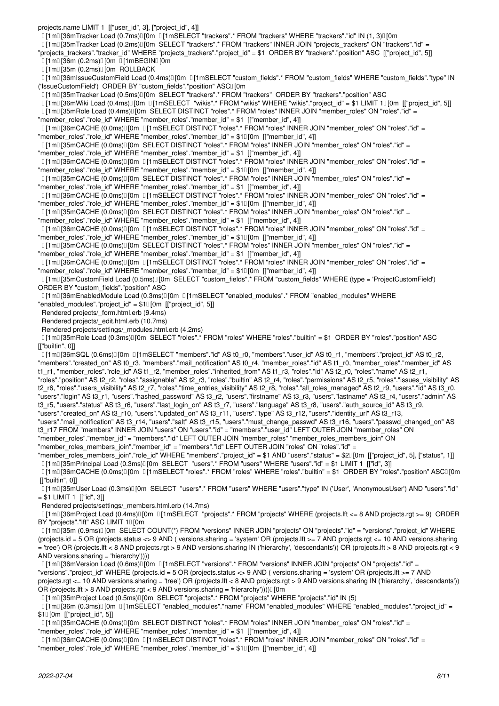projects.name LIMIT 1 [["user\_id", 3], ["project\_id", 4]] [1m] [36mTracker Load (0.7ms)[Jom [1] 1mSELECT "trackers".\* FROM "trackers" WHERE "trackers"."id" IN (1, 3)[Jom [1m] [35mTracker Load (0.2ms)] [0m SELECT "trackers".\* FROM "trackers" INNER JOIN "projects trackers" ON "trackers"."id" = "projects\_trackers"."tracker\_id" WHERE "projects\_trackers"."project\_id" = \$1 ORDER BY "trackers"."position" ASC [["project\_id", 5]]  $[1m][36m (0.2ms)]$ [0m  $[1mBEGIN][0m]$  $[1m][35m (0.2ms)]$   $[0m$  ROLLBACK [1m[36mIssueCustomField Load (0.4ms)[0m [1mSELECT "custom\_fields".\* FROM "custom\_fields" WHERE "custom\_fields"."type" IN ('IssueCustomField') ORDER BY "custom\_fields"."position" ASCI [0m [1m[35mTracker Load (0.5ms)[0m SELECT "trackers".\* FROM "trackers" ORDER BY "trackers"."position" ASC [1m[36mWiki Load (0.4ms)[0m [1mSELECT "wikis".\* FROM "wikis" WHERE "wikis"."project\_id" = \$1 LIMIT 1[0m [["project\_id", 5]] [1m[35mRole Load (0.4ms)[0m SELECT DISTINCT "roles".\* FROM "roles" INNER JOIN "member\_roles" ON "roles"."id" = "member\_roles"."role\_id" WHERE "member\_roles"."member\_id" = \$1 [["member\_id", 4]] [1m[36mCACHE (0.0ms)[0m [1mSELECT DISTINCT "roles".\* FROM "roles" INNER JOIN "member\_roles" ON "roles"."id" = "member\_roles"."role\_id" WHERE "member\_roles"."member\_id" = \$10 [0m [["member\_id", 4]] [1m][35mCACHE (0.0ms)[][0m SELECT DISTINCT "roles".\* FROM "roles" INNER JOIN "member\_roles" ON "roles"."id" = "member\_roles"."role\_id" WHERE "member\_roles"."member\_id" = \$1 [["member\_id", 4]] [1m][36mCACHE (0.0ms)][0m [1mSELECT DISTINCT "roles".\* FROM "roles" INNER JOIN "member roles" ON "roles"."id" = "member\_roles"."role\_id" WHERE "member\_roles"."member\_id" = \$10 [0m [["member\_id", 4]] [1m][35mCACHE (0.0ms)][0m SELECT DISTINCT "roles".\* FROM "roles" INNER JOIN "member\_roles" ON "roles"."id" = "member\_roles"."role\_id" WHERE "member\_roles"."member\_id" = \$1 [["member\_id", 4]] [1m][36mCACHE (0.0ms)][0m ][1mSELECT DISTINCT "roles".\* FROM "roles" INNER JOIN "member roles" ON "roles"."id" = "member\_roles"."role\_id" WHERE "member\_roles"."member\_id" = \$10[0m [["member\_id", 4]] [1m][35mCACHE (0.0ms)][0m SELECT DISTINCT "roles".\* FROM "roles" INNER JOIN "member roles" ON "roles"."id" = "member\_roles"."role\_id" WHERE "member\_roles"."member\_id" = \$1 [["member\_id", 4]] [1m[36mCACHE (0.0ms)[0m [1mSELECT DISTINCT "roles".\* FROM "roles" INNER JOIN "member\_roles" ON "roles"."id" = "member\_roles"."role\_id" WHERE "member\_roles"."member\_id" = \$10 [0m [["member\_id", 4]] [1m][35mCACHE (0.0ms)][0m SELECT DISTINCT "roles".\* FROM "roles" INNER JOIN "member\_roles" ON "roles"."id" = "member\_roles"."role\_id" WHERE "member\_roles"."member\_id" = \$1 [["member\_id", 4]] [1m[36mCACHE (0.0ms)[0m [1mSELECT DISTINCT "roles".\* FROM "roles" INNER JOIN "member\_roles" ON "roles"."id" = "member\_roles"."role\_id" WHERE "member\_roles"."member\_id" = \$1<sup>[0m</sup> [["member\_id", 4]] [1m[35mCustomField Load (0.5ms)[0m SELECT "custom\_fields".\* FROM "custom\_fields" WHERE (type = 'ProjectCustomField') ORDER BY "custom\_fields"."position" ASC [1m[36mEnabledModule Load (0.3ms)[0m [1mSELECT "enabled\_modules".\* FROM "enabled\_modules" WHERE "enabled\_modules"."project\_id" = \$10 [0m [["project\_id", 5]] Rendered projects/\_form.html.erb (9.4ms) Rendered projects/\_edit.html.erb (10.7ms) Rendered projects/settings/\_modules.html.erb (4.2ms) [1m[35mRole Load (0.3ms)[0m SELECT "roles".\* FROM "roles" WHERE "roles"."builtin" = \$1 ORDER BY "roles"."position" ASC [["builtin", 0]] [1m][36mSQL (0.6ms)][0m [1mSELECT "members"."id" AS t0\_r0, "members"."user\_id" AS t0\_r1, "members"."project\_id" AS t0\_r2, "members"."created\_on" AS t0\_r3, "members"."mail\_notification" AS t0\_r4, "member\_roles"."id" AS t1\_r0, "member\_roles"."member\_id" AS t1\_r1, "member\_roles"."role\_id" AS t1\_r2, "member\_roles"."inherited\_from" AS t1\_r3, "roles"."id" AS t2\_r0, "roles"."name" AS t2\_r1, "roles"."position" AS t2\_r2, "roles"."assignable" AS t2\_r3, "roles"."builtin" AS t2\_r4, "roles"."permissions" AS t2\_r5, "roles"."issues\_visibility" AS t2\_r6, "roles"."users\_visibility" AS t2\_r7, "roles"."time\_entries\_visibility" AS t2\_r8, "roles"."all\_roles\_managed" AS t2\_r9, "users"."id" AS t3\_r0, "users"."login" AS t3\_r1, "users"."hashed\_password" AS t3\_r2, "users"."firstname" AS t3\_r3, "users"."lastname" AS t3\_r4, "users"."admin" AS t3\_r5, "users"."status" AS t3\_r6, "users"."last\_login\_on" AS t3\_r7, "users"."language" AS t3\_r8, "users"."auth\_source\_id" AS t3\_r9, "users"."created\_on" AS t3\_r10, "users"."updated\_on" AS t3\_r11, "users"."type" AS t3\_r12, "users"."identity\_url" AS t3\_r13, "users"."mail\_notification" AS t3\_r14, "users"."salt" AS t3\_r15, "users"."must\_change\_passwd" AS t3\_r16, "users"."passwd\_changed\_on" AS t3\_r17 FROM "members" INNER JOIN "users" ON "users"."id" = "members"."user\_id" LEFT OUTER JOIN "member\_roles" ON "member\_roles"."member\_id" = "members"."id" LEFT OUTER JOIN "member\_roles" "member\_roles\_members\_join" ON "member\_roles\_members\_join"."member\_id" = "members"."id" LEFT OUTER JOIN "roles" ON "roles"."id" =

"member\_roles\_members\_join"."role\_id" WHERE "members"."project\_id" = \$1 AND "users"."status" = \$2[0m [["project\_id", 5], ["status", 1]]

[1m[35mPrincipal Load (0.3ms)[0m SELECT "users".\* FROM "users" WHERE "users"."id" = \$1 LIMIT 1 [["id", 3]]

[1m[36mCACHE (0.0ms)[[0m [1mSELECT "roles".\* FROM "roles" WHERE "roles"."builtin" = \$1 ORDER BY "roles"."position" ASC[[0m [["builtin", 0]]

 [1m[35mUser Load (0.3ms)[0m SELECT "users".\* FROM "users" WHERE "users"."type" IN ('User', 'AnonymousUser') AND "users"."id"  $= $1$  LIMIT 1 [["id", 3]]

Rendered projects/settings/\_members.html.erb (14.7ms)

 [1m[36mProject Load (0.4ms)[0m [1mSELECT "projects".\* FROM "projects" WHERE (projects.lft <= 8 AND projects.rgt >= 9) ORDER BY "projects"."Ift" ASC LIMIT 10 [0m

[1m][35m (0.9ms)][0m SELECT COUNT(\*) FROM "versions" INNER JOIN "projects" ON "projects"."id" = "versions"."project\_id" WHERE (projects.id = 5 OR (projects.status <> 9 AND ( versions.sharing = 'system' OR (projects.lft >= 7 AND projects.rgt <= 10 AND versions.sharing = 'tree') OR (projects.lft < 8 AND projects.rgt > 9 AND versions.sharing IN ('hierarchy', 'descendants')) OR (projects.lft > 8 AND projects.rgt < 9 AND versions.sharing = 'hierarchy'))))

 [1m[36mVersion Load (0.6ms)[0m [1mSELECT "versions".\* FROM "versions" INNER JOIN "projects" ON "projects"."id" = "versions"."project\_id" WHERE (projects.id = 5 OR (projects.status <> 9 AND ( versions.sharing = 'system' OR (projects.lft >= 7 AND projects.rgt <= 10 AND versions.sharing = 'tree') OR (projects.lft < 8 AND projects.rgt > 9 AND versions.sharing IN ('hierarchy', 'descendants')) OR (projects.lft > 8 AND projects.rgt < 9 AND versions.sharing = 'hierarchy'))))[[0m

[1m[35mProject Load (0.5ms)[0m SELECT "projects".\* FROM "projects" WHERE "projects"."id" IN (5)

[1m][36m (0.3ms)][0m [1mSELECT "enabled\_modules"."name" FROM "enabled\_modules" WHERE "enabled\_modules"."project\_id" = \$10 [0m [["project\_id", 5]]

[1m][35mCACHE (0.0ms)][0m SELECT DISTINCT "roles".\* FROM "roles" INNER JOIN "member\_roles" ON "roles"."id" =

"member\_roles"."role\_id" WHERE "member\_roles"."member\_id" = \$1 [["member\_id", 4]]

 [1m[36mCACHE (0.0ms)[0m [1mSELECT DISTINCT "roles".\* FROM "roles" INNER JOIN "member\_roles" ON "roles"."id" = "member\_roles"."role\_id" WHERE "member\_roles"."member\_id" = \$10 [0m [["member\_id", 4]]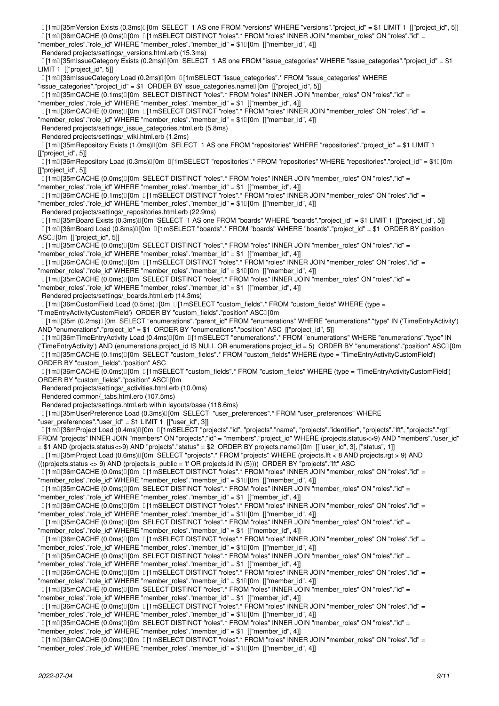[1m[35mVersion Exists (0.3ms)[0m SELECT 1 AS one FROM "versions" WHERE "versions"."project\_id" = \$1 LIMIT 1 [["project\_id", 5]] [1m[36mCACHE (0.0ms)[0m [1mSELECT DISTINCT "roles".\* FROM "roles" INNER JOIN "member\_roles" ON "roles"."id" = "member roles"."role id" WHERE "member roles"."member id" = \$10[0m [["member id", 4]] Rendered projects/settings/\_versions.html.erb (15.3ms) [11m] [35mIssueCategory Exists (0.2ms)] [0m SELECT 1 AS one FROM "issue categories" WHERE "issue categories"."project\_id" = \$1 LIMIT 1 [["project\_id", 5]]  $11$ m<sup>[36</sup>mlssueCategory Load (0.2ms)<sup>[0m 1]</sup>[1mSELECT "issue\_categories".\* FROM "issue\_categories" WHERE "issue\_categories"."project\_id" = \$1 ORDER BY issue\_categories.name<sup>[[</sup>[0m [["project\_id", 5]] [1m][35mCACHE (0.1ms)][0m SELECT DISTINCT "roles".\* FROM "roles" INNER JOIN "member\_roles" ON "roles"."id" = "member\_roles"."role\_id" WHERE "member\_roles"."member\_id" = \$1 [["member\_id", 4]] [1m[36mCACHE (0.0ms)[0m [1mSELECT DISTINCT "roles".\* FROM "roles" INNER JOIN "member\_roles" ON "roles"."id" = "member\_roles"."role\_id" WHERE "member\_roles"."member\_id" = \$10[0m [["member\_id", 4]] Rendered projects/settings/\_issue\_categories.html.erb (5.8ms) Rendered projects/settings/\_wiki.html.erb (1.2ms) [1m] [35mRepository Exists (1.0ms)[Jom SELECT 1 AS one FROM "repositories" WHERE "repositories"."project\_id" = \$1 LIMIT 1 [["project\_id", 5]] [1m] [36mRepository Load (0.3ms)] [0m [1mSELECT "repositories".\* FROM "repositories" WHERE "repositories"."project\_id" = \$10 [0m [["project\_id", 5]] [1m][35mCACHE (0.0ms)[][0m SELECT DISTINCT "roles".\* FROM "roles" INNER JOIN "member\_roles" ON "roles"."id" = "member\_roles"."role\_id" WHERE "member\_roles"."member\_id" = \$1 [["member\_id", 4]] [1m][36mCACHE (0.1ms)][0m [1mSELECT DISTINCT "roles".\* FROM "roles" INNER JOIN "member roles" ON "roles"."id" = "member\_roles"."role\_id" WHERE "member\_roles"."member\_id" = \$10[0m [["member\_id", 4]] Rendered projects/settings/\_repositories.html.erb (22.9ms) [1m] [35mBoard Exists (0.3ms)] [0m SELECT 1 AS one FROM "boards" WHERE "boards"."project\_id" = \$1 LIMIT 1 [["project\_id", 5]] [1m[36mBoard Load (0.8ms)[0m [1mSELECT "boards".\* FROM "boards" WHERE "boards"."project\_id" = \$1 ORDER BY position ASCI [0m [["project\_id", 5]] [1m][35mCACHE (0.0ms)][0m SELECT DISTINCT "roles".\* FROM "roles" INNER JOIN "member\_roles" ON "roles"."id" = "member\_roles"."role\_id" WHERE "member\_roles"."member\_id" = \$1 [["member\_id", 4]] [1m[36mCACHE (0.0ms)[0m [1mSELECT DISTINCT "roles".\* FROM "roles" INNER JOIN "member\_roles" ON "roles"."id" = "member\_roles"."role\_id" WHERE "member\_roles"."member\_id" = \$10[0m [["member\_id", 4]] [1m][35mCACHE (0.0ms)][0m SELECT DISTINCT "roles".\* FROM "roles" INNER JOIN "member\_roles" ON "roles"."id" = "member\_roles"."role\_id" WHERE "member\_roles"."member\_id" = \$1 [["member\_id", 4]] Rendered projects/settings/\_boards.html.erb (14.3ms)  $I$ [1m $I$ [36mCustomField Load (0.5ms) $I$ [0m  $I$ [1mSELECT "custom\_fields".\* FROM "custom\_fields" WHERE (type = 'TimeEntryActivityCustomField') ORDER BY "custom\_fields"."position" ASCI [0m [1m[35m (0.2ms)[0m SELECT "enumerations"."parent\_id" FROM "enumerations" WHERE "enumerations"."type" IN ('TimeEntryActivity') AND "enumerations"."project\_id" = \$1 ORDER BY "enumerations"."position" ASC [["project\_id", 5]] [1m] [36mTimeEntryActivity Load (0.4ms)[10m [11mSELECT "enumerations".\* FROM "enumerations" WHERE "enumerations"."type" IN ('TimeEntryActivity') AND (enumerations.project id IS NULL OR enumerations.project id = 5) ORDER BY "enumerations"."position" ASCI [0m [1m[35mCACHE (0.1ms)[0m SELECT "custom\_fields".\* FROM "custom\_fields" WHERE (type = 'TimeEntryActivityCustomField') ORDER BY "custom\_fields"."position" ASC [1m[36mCACHE (0.0ms)[0m [1mSELECT "custom\_fields".\* FROM "custom\_fields" WHERE (type = 'TimeEntryActivityCustomField') ORDER BY "custom\_fields"."position" ASCI [0m Rendered projects/settings/\_activities.html.erb (10.0ms) Rendered common/\_tabs.html.erb (107.5ms) Rendered projects/settings.html.erb within layouts/base (118.6ms) [1m] [35mUserPreference Load (0.3ms)] [0m SELECT "user\_preferences".\* FROM "user\_preferences" WHERE "user\_preferences"."user\_id" = \$1 LIMIT 1 [["user\_id", 3]] [1m[36mProject Load (0.4ms)[0m [1mSELECT "projects"."id", "projects"."name", "projects"."identifier", "projects"."lft", "projects"."rgt" FROM "projects" INNER JOIN "members" ON "projects"."id" = "members"."project\_id" WHERE (projects.status<>9) AND "members"."user\_id" = \$1 AND (projects.status<>9) AND "projects"."status" = \$2 ORDER BY projects.name[0m [["user\_id", 3], ["status", 1]] [1m[35mProject Load (0.6ms)[0m SELECT "projects".\* FROM "projects" WHERE (projects.lft < 8 AND projects.rgt > 9) AND (((projects.status <> 9) AND (projects.is\_public = 't' OR projects.id IN (5)))) ORDER BY "projects"."lft" ASC [1m[36mCACHE (0.0ms)[0m [1mSELECT DISTINCT "roles".\* FROM "roles" INNER JOIN "member\_roles" ON "roles"."id" = "member\_roles"."role\_id" WHERE "member\_roles"."member\_id" = \$10[0m [["member\_id", 4]] [1m][35mCACHE (0.0ms)][0m SELECT DISTINCT "roles".\* FROM "roles" INNER JOIN "member roles" ON "roles"."id" = "member\_roles"."role\_id" WHERE "member\_roles"."member\_id" = \$1 [["member\_id", 4]] [1m[36mCACHE (0.0ms)[0m [1mSELECT DISTINCT "roles".\* FROM "roles" INNER JOIN "member\_roles" ON "roles"."id" = "member roles"."role id" WHERE "member roles"."member id" = \$10[0m [["member id", 4]] [1m[35mCACHE (0.0ms)[0m SELECT DISTINCT "roles".\* FROM "roles" INNER JOIN "member\_roles" ON "roles"."id" = "member\_roles"."role\_id" WHERE "member\_roles"."member\_id" = \$1 [["member\_id", 4]] [1m[36mCACHE (0.0ms)[0m [1mSELECT DISTINCT "roles".\* FROM "roles" INNER JOIN "member\_roles" ON "roles"."id" = "member\_roles"."role\_id" WHERE "member\_roles"."member\_id" = \$10 [0m [["member\_id", 4]] [1m] [35mCACHE (0.0ms)] [0m SELECT DISTINCT "roles".\* FROM "roles" INNER JOIN "member roles" ON "roles"."id" = "member\_roles"."role\_id" WHERE "member\_roles"."member\_id" = \$1 [["member\_id", 4]] [1m[36mCACHE (0.0ms)[0m [1mSELECT DISTINCT "roles".\* FROM "roles" INNER JOIN "member\_roles" ON "roles"."id" = "member\_roles"."role\_id" WHERE "member\_roles"."member\_id" = \$10 [0m [["member\_id", 4]] [1m[35mCACHE (0.0ms)[] [0m SELECT DISTINCT "roles".\* FROM "roles" INNER JOIN "member\_roles" ON "roles"."id" = "member\_roles"."role\_id" WHERE "member\_roles"."member\_id" = \$1 [["member\_id", 4]] [1m[36mCACHE (0.0ms)[0m [1mSELECT DISTINCT "roles".\* FROM "roles" INNER JOIN "member\_roles" ON "roles"."id" = "member\_roles"."role\_id" WHERE "member\_roles"."member\_id" = \$10[0m [["member\_id", 4]] [1m[35mCACHE (0.0ms)[0m SELECT DISTINCT "roles".\* FROM "roles" INNER JOIN "member\_roles" ON "roles"."id" = "member\_roles"."role\_id" WHERE "member\_roles"."member\_id" = \$1 [["member\_id", 4]] [1m][36mCACHE (0.0ms)][0m [1mSELECT DISTINCT "roles".\* FROM "roles" INNER JOIN "member roles" ON "roles"."id" =

"member\_roles"."role\_id" WHERE "member\_roles"."member\_id" = \$10 [0m [["member\_id", 4]]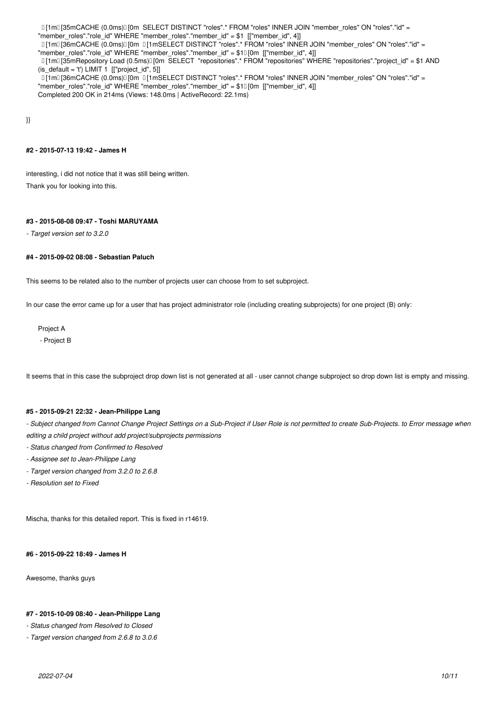[1m[35mCACHE (0.0ms)[0m SELECT DISTINCT "roles".\* FROM "roles" INNER JOIN "member\_roles" ON "roles"."id" = "member\_roles"."role\_id" WHERE "member\_roles"."member\_id" = \$1 [["member\_id", 4]]

 $I$ [1m $I$ [36mCACHE (0.0ms) $I$ [0m  $I$ [1mSELECT DISTINCT "roles".\* FROM "roles" INNER JOIN "member roles" ON "roles"."id" = "member\_roles"."role\_id" WHERE "member\_roles"."member\_id" = \$1[0m [["member\_id", 4]]

 [1m[35mRepository Load (0.5ms)[0m SELECT "repositories".\* FROM "repositories" WHERE "repositories"."project\_id" = \$1 AND (is default = 't') LIMIT 1  $[["project id", 5]]$ 

 [1m[36mCACHE (0.0ms)[0m [1mSELECT DISTINCT "roles".\* FROM "roles" INNER JOIN "member\_roles" ON "roles"."id" = "member\_roles"."role\_id" WHERE "member\_roles"."member\_id" = \$10[0m [["member\_id", 4]] Completed 200 OK in 214ms (Views: 148.0ms | ActiveRecord: 22.1ms)

}}

#### **#2 - 2015-07-13 19:42 - James H**

interesting, i did not notice that it was still being written. Thank you for looking into this.

#### **#3 - 2015-08-08 09:47 - Toshi MARUYAMA**

*- Target version set to 3.2.0*

#### **#4 - 2015-09-02 08:08 - Sebastian Paluch**

This seems to be related also to the number of projects user can choose from to set subproject.

In our case the error came up for a user that has project administrator role (including creating subprojects) for one project (B) only:

Project A

- Project B

It seems that in this case the subproject drop down list is not generated at all - user cannot change subproject so drop down list is empty and missing.

# **#5 - 2015-09-21 22:32 - Jean-Philippe Lang**

- Subject changed from Cannot Change Project Settings on a Sub-Project if User Role is not permitted to create Sub-Projects. to Error message when *editing a child project without add project/subprojects permissions*

- *Status changed from Confirmed to Resolved*
- *Assignee set to Jean-Philippe Lang*
- *Target version changed from 3.2.0 to 2.6.8*
- *Resolution set to Fixed*

Mischa, thanks for this detailed report. This is fixed in r14619.

#### **#6 - 2015-09-22 18:49 - James H**

Awesome, thanks guys

#### **#7 - 2015-10-09 08:40 - Jean-Philippe Lang**

*- Status changed from Resolved to Closed*

*- Target version changed from 2.6.8 to 3.0.6*